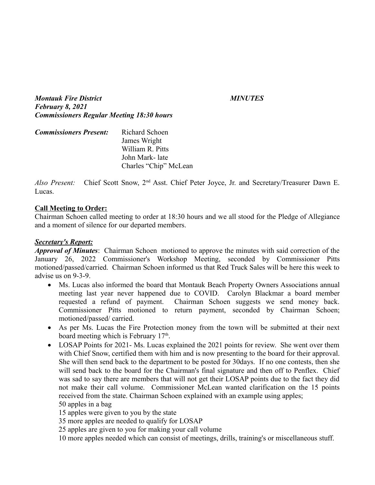*Montauk Fire District MINUTES February 8, 2021 Commissioners Regular Meeting 18:30 hours*

| <b>Commissioners Present:</b> | Richard Schoen        |
|-------------------------------|-----------------------|
|                               | James Wright          |
|                               | William R. Pitts      |
|                               | John Mark- late       |
|                               | Charles "Chip" McLean |

*Also Present:* Chief Scott Snow, 2nd Asst. Chief Peter Joyce, Jr. and Secretary/Treasurer Dawn E. Lucas.

## **Call Meeting to Order:**

Chairman Schoen called meeting to order at 18:30 hours and we all stood for the Pledge of Allegiance and a moment of silence for our departed members.

## *Secretary's Report:*

*Approval of Minutes*: Chairman Schoen motioned to approve the minutes with said correction of the January 26, 2022 Commissioner's Workshop Meeting, seconded by Commissioner Pitts motioned/passed/carried. Chairman Schoen informed us that Red Truck Sales will be here this week to advise us on 9-3-9.

- Ms. Lucas also informed the board that Montauk Beach Property Owners Associations annual meeting last year never happened due to COVID. Carolyn Blackmar a board member requested a refund of payment. Chairman Schoen suggests we send money back. Commissioner Pitts motioned to return payment, seconded by Chairman Schoen; motioned/passed/ carried.
- As per Ms. Lucas the Fire Protection money from the town will be submitted at their next board meeting which is February 17<sup>th</sup>.
- LOSAP Points for 2021- Ms. Lucas explained the 2021 points for review. She went over them with Chief Snow, certified them with him and is now presenting to the board for their approval. She will then send back to the department to be posted for 30days. If no one contests, then she will send back to the board for the Chairman's final signature and then off to Penflex. Chief was sad to say there are members that will not get their LOSAP points due to the fact they did not make their call volume. Commissioner McLean wanted clarification on the 15 points received from the state. Chairman Schoen explained with an example using apples; 50 apples in a bag

15 apples were given to you by the state

35 more apples are needed to qualify for LOSAP

25 apples are given to you for making your call volume

10 more apples needed which can consist of meetings, drills, training's or miscellaneous stuff.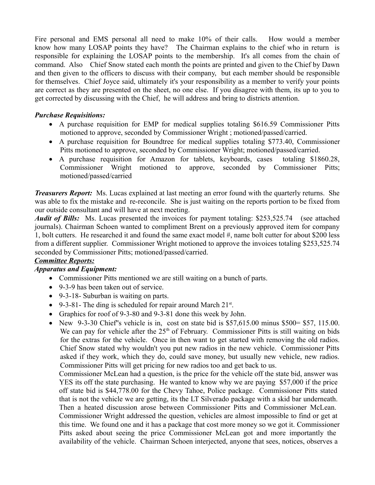Fire personal and EMS personal all need to make 10% of their calls. How would a member know how many LOSAP points they have? The Chairman explains to the chief who in return is responsible for explaining the LOSAP points to the membership. It's all comes from the chain of command. Also Chief Snow stated each month the points are printed and given to the Chief by Dawn and then given to the officers to discuss with their company, but each member should be responsible for themselves. Chief Joyce said, ultimately it's your responsibility as a member to verify your points are correct as they are presented on the sheet, no one else. If you disagree with them, its up to you to get corrected by discussing with the Chief, he will address and bring to districts attention.

## *Purchase Requisitions:*

- A purchase requisition for EMP for medical supplies totaling \$616.59 Commissioner Pitts motioned to approve, seconded by Commissioner Wright ; motioned/passed/carried.
- A purchase requisition for Boundtree for medical supplies totaling \$773.40, Commissioner Pitts motioned to approve, seconded by Commissioner Wright; motioned/passed/carried.
- A purchase requisition for Amazon for tablets, keyboards, cases totaling \$1860.28, Commissioner Wright motioned to approve, seconded by Commissioner Pitts; motioned/passed/carried

*Treasurers Report:* Ms. Lucas explained at last meeting an error found with the quarterly returns. She was able to fix the mistake and re-reconcile. She is just waiting on the reports portion to be fixed from our outside consultant and will have at next meeting.

*Audit of Bills:* Ms. Lucas presented the invoices for payment totaling: \$253,525.74 (see attached journals). Chairman Schoen wanted to compliment Brent on a previously approved item for company 1, bolt cutters. He researched it and found the same exact model #, name bolt cutter for about \$200 less from a different supplier. Commissioner Wright motioned to approve the invoices totaling \$253,525.74 seconded by Commissioner Pitts; motioned/passed/carried.

# *Committee Reports:*

# *Apparatus and Equipment:*

- Commissioner Pitts mentioned we are still waiting on a bunch of parts.
- 9-3-9 has been taken out of service.
- 9-3-18- Suburban is waiting on parts.
- 9-3-81- The ding is scheduled for repair around March  $21^{st}$ .
- Graphics for roof of 9-3-80 and 9-3-81 done this week by John.
- New 9-3-30 Chief''s vehicle is in, cost on state bid is  $$57,615.00$  minus  $$500 = $57, 115.00$ . We can pay for vehicle after the  $25<sup>th</sup>$  of February. Commissioner Pitts is still waiting on bids for the extras for the vehicle. Once in then want to get started with removing the old radios. Chief Snow stated why wouldn't you put new radios in the new vehicle. Commissioner Pitts asked if they work, which they do, could save money, but usually new vehicle, new radios. Commissioner Pitts will get pricing for new radios too and get back to us.

Commissioner McLean had a question, is the price for the vehicle off the state bid, answer was YES its off the state purchasing. He wanted to know why we are paying \$57,000 if the price off state bid is \$44,778.00 for the Chevy Tahoe, Police package. Commissioner Pitts stated that is not the vehicle we are getting, its the LT Silverado package with a skid bar underneath. Then a heated discussion arose between Commissioner Pitts and Commissioner McLean. Commissioner Wright addressed the question, vehicles are almost impossible to find or get at this time. We found one and it has a package that cost more money so we got it. Commissioner Pitts asked about seeing the price Commissioner McLean got and more importantly the availability of the vehicle. Chairman Schoen interjected, anyone that sees, notices, observes a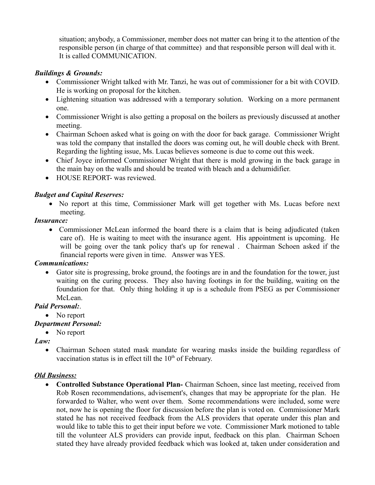situation; anybody, a Commissioner, member does not matter can bring it to the attention of the responsible person (in charge of that committee) and that responsible person will deal with it. It is called COMMUNICATION.

## *Buildings & Grounds:*

- Commissioner Wright talked with Mr. Tanzi, he was out of commissioner for a bit with COVID. He is working on proposal for the kitchen.
- Lightening situation was addressed with a temporary solution. Working on a more permanent one.
- Commissioner Wright is also getting a proposal on the boilers as previously discussed at another meeting.
- Chairman Schoen asked what is going on with the door for back garage. Commissioner Wright was told the company that installed the doors was coming out, he will double check with Brent. Regarding the lighting issue, Ms. Lucas believes someone is due to come out this week.
- Chief Joyce informed Commissioner Wright that there is mold growing in the back garage in the main bay on the walls and should be treated with bleach and a dehumidifier.
- HOUSE REPORT- was reviewed.

# *Budget and Capital Reserves:*

 No report at this time, Commissioner Mark will get together with Ms. Lucas before next meeting.

### *Insurance:*

 Commissioner McLean informed the board there is a claim that is being adjudicated (taken care of). He is waiting to meet with the insurance agent. His appointment is upcoming. He will be going over the tank policy that's up for renewal . Chairman Schoen asked if the financial reports were given in time. Answer was YES.

### *Communications:*

 Gator site is progressing, broke ground, the footings are in and the foundation for the tower, just waiting on the curing process. They also having footings in for the building, waiting on the foundation for that. Only thing holding it up is a schedule from PSEG as per Commissioner McLean.

# *Paid Personal:*.

• No report

# *Department Personal:*

# • No report

*Law:*

• Chairman Schoen stated mask mandate for wearing masks inside the building regardless of vaccination status is in effect till the  $10<sup>th</sup>$  of February.

### *Old Business:*

 **Controlled Substance Operational Plan-** Chairman Schoen, since last meeting, received from Rob Rosen recommendations, advisement's, changes that may be appropriate for the plan. He forwarded to Walter, who went over them. Some recommendations were included, some were not, now he is opening the floor for discussion before the plan is voted on. Commissioner Mark stated he has not received feedback from the ALS providers that operate under this plan and would like to table this to get their input before we vote. Commissioner Mark motioned to table till the volunteer ALS providers can provide input, feedback on this plan. Chairman Schoen stated they have already provided feedback which was looked at, taken under consideration and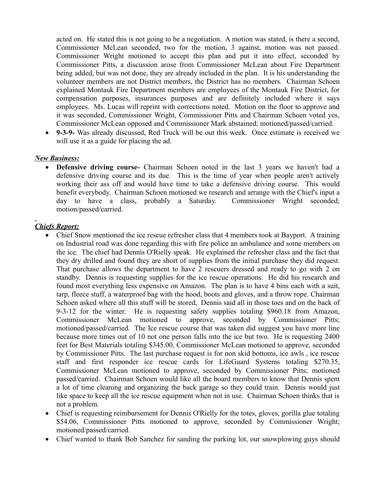acted on. He stated this is not going to be a negotiation. A motion was stated, is there a second, Commissioner McLean seconded, two for the motion, 3 against, motion was not passed. Commissioner Wright motioned to accept this plan and put it into effect, seconded by Commissioner Pitts, a discussion arose from Commissioner McLean about Fire Department being added, but was not done, they are already included in the plan. It is his understanding the volunteer members are not District members, the District has no members. Chairman Schoen explained Montauk Fire Department members are employees of the Montauk Fire District, for compensation purposes, insurances purposes and are definitely included where it says employees. Ms. Lucas will reprint with corrections noted. Motion on the floor to approve and it was seconded, Commissioner Wright, Commissioner Pitts and Chairman Schoen voted yes, Commissioner McLean opposed and Commissioner Mark abstained; motioned/passed/carried.

 **9-3-9-** Was already discussed, Red Truck will be out this week. Once estimate is received we will use it as a guide for placing the ad.

## *New Business:*

 **Defensive driving course***-* Chairman Schoen noted in the last 3 years we haven't had a defensive driving course and its due. This is the time of year when people aren't actively working their ass off and would have time to take a defensive driving course. This would benefit everybody. Chairman Schoen motioned we research and arrange with the Chief's input a day to have a class, probably a Saturday. Commissioner Wright seconded; motion/passed/carried.

# *Chiefs Report:*

- Chief Snow mentioned the ice rescue refresher class that 4 members took at Bayport. A training on Industrial road was done regarding this with fire police an ambulance and some members on the ice. The chief had Dennis O'Rielly speak. He explained the refresher class and the fact that they dry drilled and found they are short of supplies from the initial purchase they did request. That purchase allows the department to have 2 rescuers dressed and ready to go with 2 on standby. Dennis is requesting supplies for the ice rescue operations. He did his research and found most everything less expensive on Amazon. The plan is to have 4 bins each with a suit, tarp, fleece stuff, a waterproof bag with the hood, boots and gloves, and a throw rope. Chairman Schoen asked where all this stuff will be stored, Dennis said all in those toes and on the back of 9-3-12 for the winter. He is requesting safety supplies totaling \$960.18 from Amazon, Commissioner McLean motioned to approve, seconded by Commissioner Pitts; motioned/passed/carried. The Ice rescue course that was taken did suggest you have more line because more times out of 10 not one person falls into the ice but two. He is requesting 2400 feet for Best Materials totaling \$345.00, Commissioner McLean motioned to approve, seconded by Commissioner Pitts. The last purchase request is for non skid bottoms, ice awls , ice rescue staff and first responder ice rescue cards for LifeGuard Systems totaling \$270.35, Commissioner McLean motioned to approve, seconded by Commissioner Pitts; motioned passed/carried. Chairman Schoen would like all the board members to know that Dennis spent a lot of time cleaning and organizing the back garage so they could train. Dennis would just like space to keep all the ice rescue equipment when not in use. Chairman Schoen thinks that is not a problem.
- Chief is requesting reimbursement for Dennis O'Rielly for the totes, gloves, gorilla glue totaling \$54.06, Commissioner Pitts motioned to approve, seconded by Commissioner Wright; motioned/passed/carried.
- Chief wanted to thank Bob Sanchez for sanding the parking lot, our snowplowing guys should